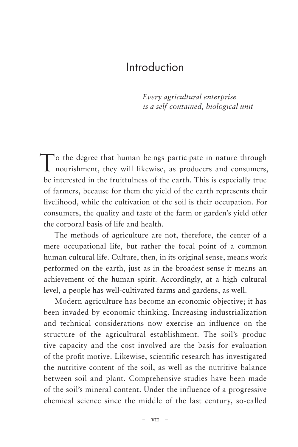## Introduction

*Every agricultural enterprise is a self-contained, biological unit*

To the degree that human beings participate in nature through nourishment, they will likewise, as producers and consumers, be interested in the fruitfulness of the earth. This is especially true of farmers, because for them the yield of the earth represents their livelihood, while the cultivation of the soil is their occupation. For consumers, the quality and taste of the farm or garden's yield offer the corporal basis of life and health.

The methods of agriculture are not, therefore, the center of a mere occupational life, but rather the focal point of a common human cultural life. Culture, then, in its original sense, means work performed on the earth, just as in the broadest sense it means an achievement of the human spirit. Accordingly, at a high cultural level, a people has well-cultivated farms and gardens, as well.

Modern agriculture has become an economic objective; it has been invaded by economic thinking. Increasing industrialization and technical considerations now exercise an influence on the structure of the agricultural establishment. The soil's productive capacity and the cost involved are the basis for evaluation of the profit motive. Likewise, scientific research has investigated the nutritive content of the soil, as well as the nutritive balance between soil and plant. Comprehensive studies have been made of the soil's mineral content. Under the influence of a progressive chemical science since the middle of the last century, so-called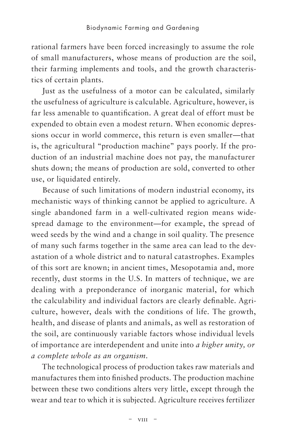rational farmers have been forced increasingly to assume the role of small manufacturers, whose means of production are the soil, their farming implements and tools, and the growth characteristics of certain plants.

Just as the usefulness of a motor can be calculated, similarly the usefulness of agriculture is calculable. Agriculture, however, is far less amenable to quantification. A great deal of effort must be expended to obtain even a modest return. When economic depressions occur in world commerce, this return is even smaller—that is, the agricultural "production machine" pays poorly. If the production of an industrial machine does not pay, the manufacturer shuts down; the means of production are sold, converted to other use, or liquidated entirely.

Because of such limitations of modern industrial economy, its mechanistic ways of thinking cannot be applied to agriculture. A single abandoned farm in a well-cultivated region means widespread damage to the environment—for example, the spread of weed seeds by the wind and a change in soil quality. The presence of many such farms together in the same area can lead to the devastation of a whole district and to natural catastrophes. Examples of this sort are known; in ancient times, Mesopotamia and, more recently, dust storms in the U.S. In matters of technique, we are dealing with a preponderance of inorganic material, for which the calculability and individual factors are clearly definable. Agriculture, however, deals with the conditions of life. The growth, health, and disease of plants and animals, as well as restoration of the soil, are continuously variable factors whose individual levels of importance are interdependent and unite into *a higher unity, or a complete whole as an organism*.

The technological process of production takes raw materials and manufactures them into finished products. The production machine between these two conditions alters very little, except through the wear and tear to which it is subjected. Agriculture receives fertilizer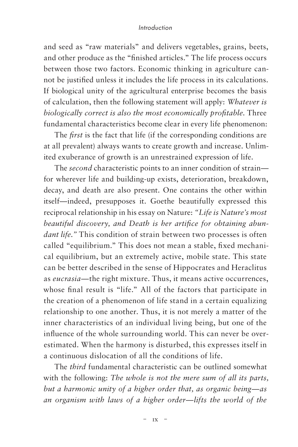## *Introduction*

and seed as "raw materials" and delivers vegetables, grains, beets, and other produce as the "finished articles." The life process occurs between those two factors. Economic thinking in agriculture cannot be justified unless it includes the life process in its calculations. If biological unity of the agricultural enterprise becomes the basis of calculation, then the following statement will apply: *Whatever is biologically correct is also the most economically profitable*. Three fundamental characteristics become clear in every life phenomenon:

The *first* is the fact that life (if the corresponding conditions are at all prevalent) always wants to create growth and increase. Unlimited exuberance of growth is an unrestrained expression of life.

The *second* characteristic points to an inner condition of strain for wherever life and building-up exists, deterioration, breakdown, decay, and death are also present. One contains the other within itself—indeed, presupposes it. Goethe beautifully expressed this reciprocal relationship in his essay on Nature: *"Life is Nature's most beautiful discovery, and Death is her artifice for obtaining abundant life."* This condition of strain between two processes is often called "equilibrium." This does not mean a stable, fixed mechanical equilibrium, but an extremely active, mobile state. This state can be better described in the sense of Hippocrates and Heraclitus as *eucrasia—*the right mixture. Thus, it means active occurrences, whose final result is "life." All of the factors that participate in the creation of a phenomenon of life stand in a certain equalizing relationship to one another. Thus, it is not merely a matter of the inner characteristics of an individual living being, but one of the influence of the whole surrounding world. This can never be overestimated. When the harmony is disturbed, this expresses itself in a continuous dislocation of all the conditions of life.

The *third* fundamental characteristic can be outlined somewhat with the following: *The whole is not the mere sum of all its parts, but a harmonic unity of a higher order that, as organic being—as an organism with laws of a higher order—lifts the world of the*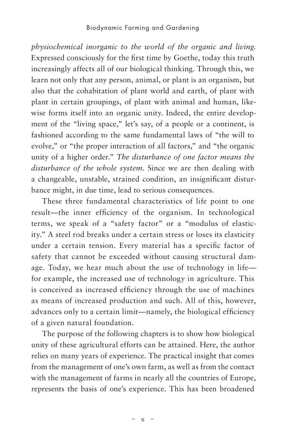*physiochemical inorganic to the world of the organic and living*. Expressed consciously for the first time by Goethe, today this truth increasingly affects all of our biological thinking. Through this, we learn not only that any person, animal, or plant is an organism, but also that the cohabitation of plant world and earth, of plant with plant in certain groupings, of plant with animal and human, likewise forms itself into an organic unity. Indeed, the entire development of the "living space," let's say, of a people or a continent, is fashioned according to the same fundamental laws of "the will to evolve," or "the proper interaction of all factors," and "the organic unity of a higher order." *The disturbance of one factor means the disturbance of the whole system*. Since we are then dealing with a changeable, unstable, strained condition, an insignificant disturbance might, in due time, lead to serious consequences.

These three fundamental characteristics of life point to one result—the inner efficiency of the organism. In technological terms, we speak of a "safety factor" or a "modulus of elasticity." A steel rod breaks under a certain stress or loses its elasticity under a certain tension. Every material has a specific factor of safety that cannot be exceeded without causing structural damage. Today, we hear much about the use of technology in life for example, the increased use of technology in agriculture. This is conceived as increased efficiency through the use of machines as means of increased production and such. All of this, however, advances only to a certain limit—namely, the biological efficiency of a given natural foundation.

The purpose of the following chapters is to show how biological unity of these agricultural efforts can be attained. Here, the author relies on many years of experience. The practical insight that comes from the management of one's own farm, as well as from the contact with the management of farms in nearly all the countries of Europe, represents the basis of one's experience. This has been broadened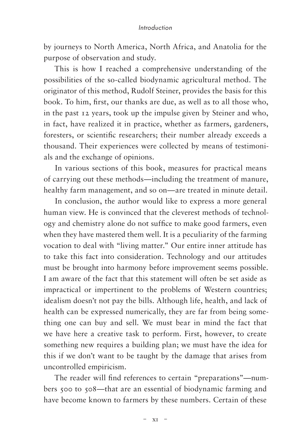## *Introduction*

by journeys to North America, North Africa, and Anatolia for the purpose of observation and study.

This is how I reached a comprehensive understanding of the possibilities of the so-called biodynamic agricultural method. The originator of this method, Rudolf Steiner, provides the basis for this book. To him, first, our thanks are due, as well as to all those who, in the past 12 years, took up the impulse given by Steiner and who, in fact, have realized it in practice, whether as farmers, gardeners, foresters, or scientific researchers; their number already exceeds a thousand. Their experiences were collected by means of testimonials and the exchange of opinions.

In various sections of this book, measures for practical means of carrying out these methods—including the treatment of manure, healthy farm management, and so on—are treated in minute detail.

In conclusion, the author would like to express a more general human view. He is convinced that the cleverest methods of technology and chemistry alone do not suffice to make good farmers, even when they have mastered them well. It is a peculiarity of the farming vocation to deal with "living matter." Our entire inner attitude has to take this fact into consideration. Technology and our attitudes must be brought into harmony before improvement seems possible. I am aware of the fact that this statement will often be set aside as impractical or impertinent to the problems of Western countries; idealism doesn't not pay the bills. Although life, health, and lack of health can be expressed numerically, they are far from being something one can buy and sell. We must bear in mind the fact that we have here a creative task to perform. First, however, to create something new requires a building plan; we must have the idea for this if we don't want to be taught by the damage that arises from uncontrolled empiricism.

The reader will find references to certain "preparations"—numbers 500 to 508—that are an essential of biodynamic farming and have become known to farmers by these numbers. Certain of these